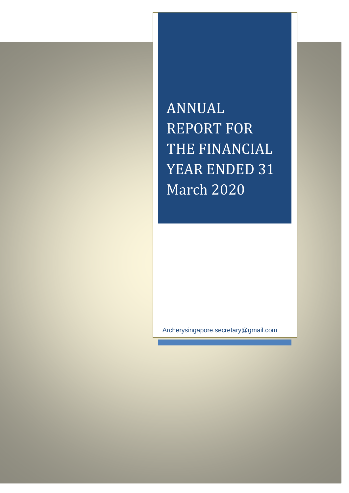ANNUAL REPORT FOR THE FINANCIAL YEAR ENDED 31 March 2020

Archerysingapore.secretary@gmail.com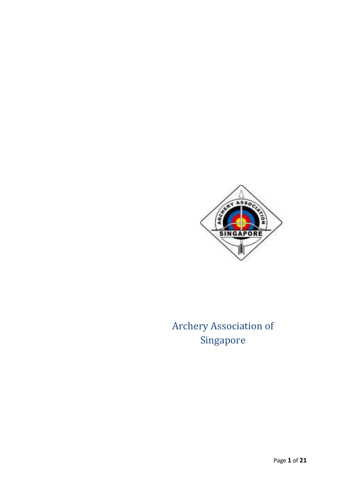

Archery Association of Singapore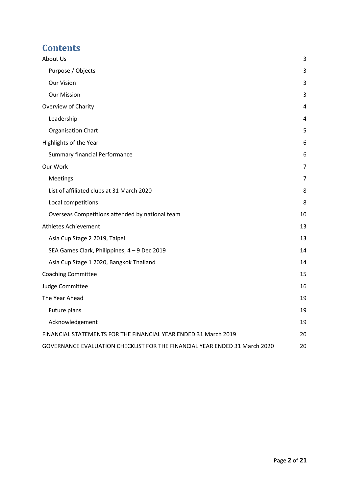# **Contents**

| About Us                                                                   | 3              |
|----------------------------------------------------------------------------|----------------|
| Purpose / Objects                                                          | 3              |
| <b>Our Vision</b>                                                          | 3              |
| <b>Our Mission</b>                                                         | 3              |
| Overview of Charity                                                        | 4              |
| Leadership                                                                 | 4              |
| <b>Organisation Chart</b>                                                  | 5              |
| Highlights of the Year                                                     | 6              |
| <b>Summary financial Performance</b>                                       | 6              |
| Our Work                                                                   | 7              |
| Meetings                                                                   | $\overline{7}$ |
| List of affiliated clubs at 31 March 2020                                  | 8              |
| Local competitions                                                         | 8              |
| Overseas Competitions attended by national team                            | 10             |
| <b>Athletes Achievement</b>                                                | 13             |
| Asia Cup Stage 2 2019, Taipei                                              | 13             |
| SEA Games Clark, Philippines, 4 - 9 Dec 2019                               | 14             |
| Asia Cup Stage 1 2020, Bangkok Thailand                                    | 14             |
| <b>Coaching Committee</b>                                                  | 15             |
| Judge Committee                                                            | 16             |
| The Year Ahead                                                             | 19             |
| Future plans                                                               | 19             |
| Acknowledgement                                                            | 19             |
| FINANCIAL STATEMENTS FOR THE FINANCIAL YEAR ENDED 31 March 2019            | 20             |
| GOVERNANCE EVALUATION CHECKLIST FOR THE FINANCIAL YEAR ENDED 31 March 2020 | 20             |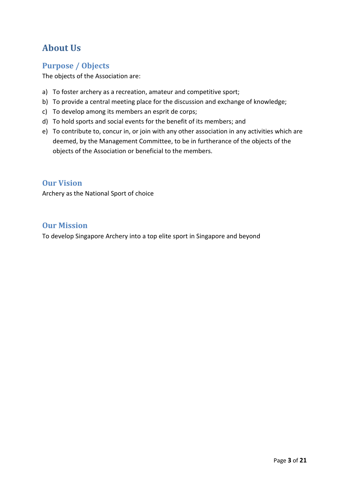# <span id="page-3-0"></span>**About Us**

### <span id="page-3-1"></span>**Purpose / Objects**

The objects of the Association are:

- a) To foster archery as a recreation, amateur and competitive sport;
- b) To provide a central meeting place for the discussion and exchange of knowledge;
- c) To develop among its members an esprit de corps;
- d) To hold sports and social events for the benefit of its members; and
- e) To contribute to, concur in, or join with any other association in any activities which are deemed, by the Management Committee, to be in furtherance of the objects of the objects of the Association or beneficial to the members.

### <span id="page-3-2"></span>**Our Vision**

Archery as the National Sport of choice

### <span id="page-3-3"></span>**Our Mission**

To develop Singapore Archery into a top elite sport in Singapore and beyond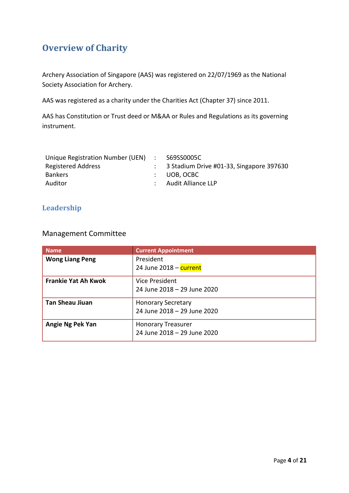# <span id="page-4-0"></span>**Overview of Charity**

Archery Association of Singapore (AAS) was registered on 22/07/1969 as the National Society Association for Archery.

AAS was registered as a charity under the Charities Act (Chapter 37) since 2011.

AAS has Constitution or Trust deed or M&AA or Rules and Regulations as its governing instrument.

| Unique Registration Number (UEN) | $\mathbf{r} = 1$ | S69SS0005C                               |
|----------------------------------|------------------|------------------------------------------|
| <b>Registered Address</b>        |                  | 3 Stadium Drive #01-33, Singapore 397630 |
| <b>Bankers</b>                   |                  | : UOB.OCBC                               |
| Auditor                          |                  | : Audit Alliance LLP                     |
|                                  |                  |                                          |

### <span id="page-4-1"></span>**Leadership**

### Management Committee

| <b>Name</b>                | <b>Current Appointment</b>                               |
|----------------------------|----------------------------------------------------------|
| <b>Wong Liang Peng</b>     | President<br>24 June 2018 - current                      |
| <b>Frankie Yat Ah Kwok</b> | Vice President<br>24 June 2018 - 29 June 2020            |
| <b>Tan Sheau Jiuan</b>     | <b>Honorary Secretary</b><br>24 June 2018 - 29 June 2020 |
| Angie Ng Pek Yan           | <b>Honorary Treasurer</b><br>24 June 2018 - 29 June 2020 |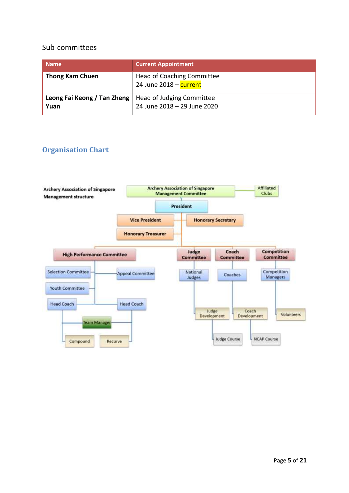#### Sub-committees

| <b>Name</b>                         | <b>Current Appointment</b>                                  |
|-------------------------------------|-------------------------------------------------------------|
| <b>Thong Kam Chuen</b>              | <b>Head of Coaching Committee</b><br>24 June 2018 - current |
| Leong Fai Keong / Tan Zheng<br>Yuan | Head of Judging Committee<br>24 June 2018 - 29 June 2020    |

### <span id="page-5-0"></span>**Organisation Chart**

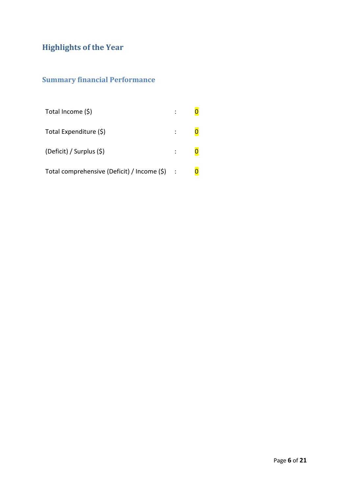# <span id="page-6-0"></span>**Highlights of the Year**

# <span id="page-6-1"></span>**Summary financial Performance**

| Total Income (\$)                                |               |  |
|--------------------------------------------------|---------------|--|
| Total Expenditure (\$)                           |               |  |
| (Deficit) / Surplus (\$)                         | $\mathcal{L}$ |  |
| Total comprehensive (Deficit) / Income $(\xi)$ : |               |  |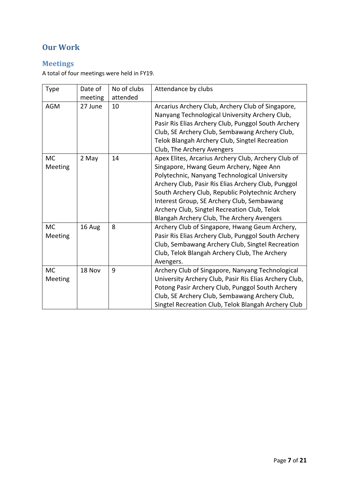## <span id="page-7-0"></span>**Our Work**

## <span id="page-7-1"></span>**Meetings**

A total of four meetings were held in FY19.

| <b>Type</b>          | Date of<br>meeting | No of clubs<br>attended | Attendance by clubs                                                                                                                                                                                                                                                                                                                                                                                    |
|----------------------|--------------------|-------------------------|--------------------------------------------------------------------------------------------------------------------------------------------------------------------------------------------------------------------------------------------------------------------------------------------------------------------------------------------------------------------------------------------------------|
| <b>AGM</b>           | 27 June            | 10                      | Arcarius Archery Club, Archery Club of Singapore,<br>Nanyang Technological University Archery Club,<br>Pasir Ris Elias Archery Club, Punggol South Archery<br>Club, SE Archery Club, Sembawang Archery Club,<br>Telok Blangah Archery Club, Singtel Recreation<br>Club, The Archery Avengers                                                                                                           |
| <b>MC</b><br>Meeting | 2 May              | 14                      | Apex Elites, Arcarius Archery Club, Archery Club of<br>Singapore, Hwang Geum Archery, Ngee Ann<br>Polytechnic, Nanyang Technological University<br>Archery Club, Pasir Ris Elias Archery Club, Punggol<br>South Archery Club, Republic Polytechnic Archery<br>Interest Group, SE Archery Club, Sembawang<br>Archery Club, Singtel Recreation Club, Telok<br>Blangah Archery Club, The Archery Avengers |
| <b>MC</b><br>Meeting | 16 Aug             | 8                       | Archery Club of Singapore, Hwang Geum Archery,<br>Pasir Ris Elias Archery Club, Punggol South Archery<br>Club, Sembawang Archery Club, Singtel Recreation<br>Club, Telok Blangah Archery Club, The Archery<br>Avengers.                                                                                                                                                                                |
| <b>MC</b><br>Meeting | 18 Nov             | 9                       | Archery Club of Singapore, Nanyang Technological<br>University Archery Club, Pasir Ris Elias Archery Club,<br>Potong Pasir Archery Club, Punggol South Archery<br>Club, SE Archery Club, Sembawang Archery Club,<br>Singtel Recreation Club, Telok Blangah Archery Club                                                                                                                                |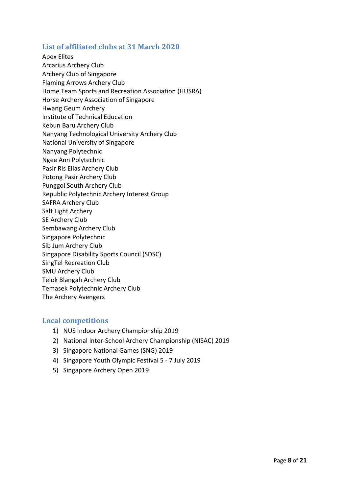#### <span id="page-8-0"></span>**List of affiliated clubs at 31 March 2020**

Apex Elites Arcarius Archery Club Archery Club of Singapore Flaming Arrows Archery Club Home Team Sports and Recreation Association (HUSRA) Horse Archery Association of Singapore Hwang Geum Archery Institute of Technical Education Kebun Baru Archery Club Nanyang Technological University Archery Club National University of Singapore Nanyang Polytechnic Ngee Ann Polytechnic Pasir Ris Elias Archery Club Potong Pasir Archery Club Punggol South Archery Club Republic Polytechnic Archery Interest Group SAFRA Archery Club Salt Light Archery SE Archery Club Sembawang Archery Club Singapore Polytechnic Sib Jum Archery Club Singapore Disability Sports Council (SDSC) SingTel Recreation Club SMU Archery Club Telok Blangah Archery Club Temasek Polytechnic Archery Club The Archery Avengers

#### <span id="page-8-1"></span>**Local competitions**

- 1) NUS Indoor Archery Championship 2019
- 2) National Inter-School Archery Championship (NISAC) 2019
- 3) Singapore National Games (SNG) 2019
- 4) Singapore Youth Olympic Festival 5 7 July 2019
- 5) Singapore Archery Open 2019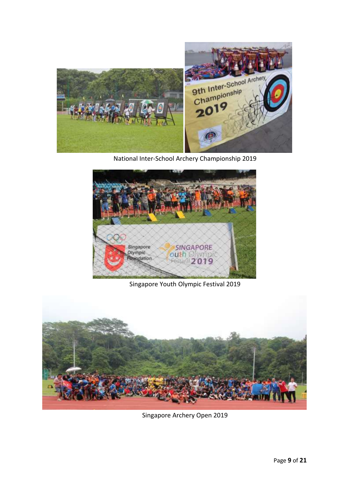

National Inter-School Archery Championship 2019



Singapore Youth Olympic Festival 2019



Singapore Archery Open 2019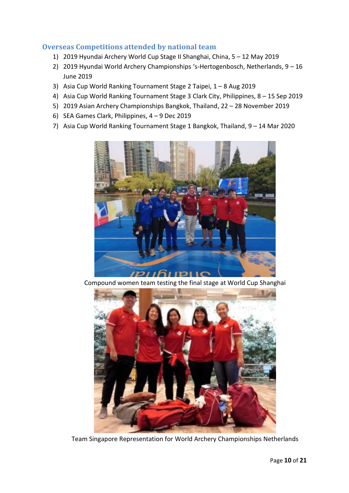### <span id="page-10-0"></span>**Overseas Competitions attended by national team**

- 1) 2019 Hyundai Archery World Cup Stage II Shanghai, China, 5 12 May 2019
- 2) 2019 Hyundai World Archery Championships 's-Hertogenbosch, Netherlands, 9 16 June 2019
- 3) Asia Cup World Ranking Tournament Stage 2 Taipei, 1 8 Aug 2019
- 4) Asia Cup World Ranking Tournament Stage 3 Clark City, Philippines, 8 15 Sep 2019
- 5) 2019 Asian Archery Championships Bangkok, Thailand, 22 28 November 2019
- 6) SEA Games Clark, Philippines, 4 9 Dec 2019
- 7) Asia Cup World Ranking Tournament Stage 1 Bangkok, Thailand, 9 14 Mar 2020



Compound women team testing the final stage at World Cup Shanghai



Team Singapore Representation for World Archery Championships Netherlands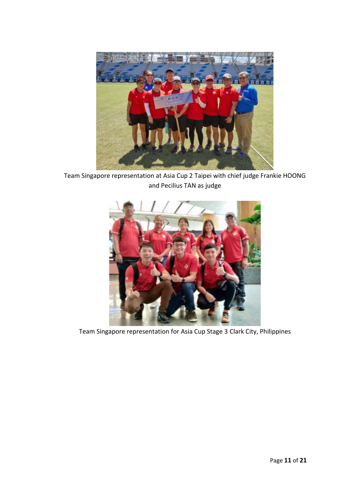

Team Singapore representation at Asia Cup 2 Taipei with chief judge Frankie HOONG and Pecilius TAN as judge



Team Singapore representation for Asia Cup Stage 3 Clark City, Philippines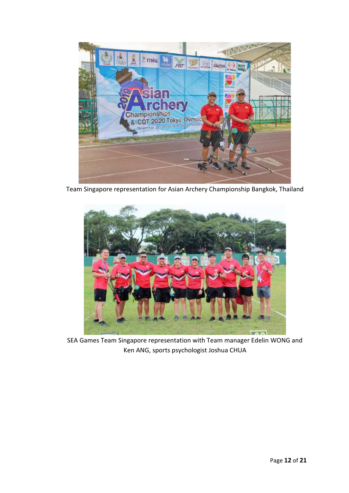

Team Singapore representation for Asian Archery Championship Bangkok, Thailand



SEA Games Team Singapore representation with Team manager Edelin WONG and Ken ANG, sports psychologist Joshua CHUA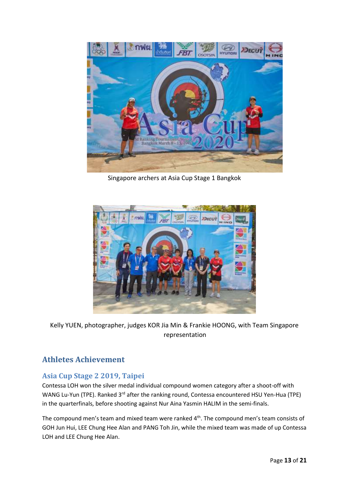

Singapore archers at Asia Cup Stage 1 Bangkok



Kelly YUEN, photographer, judges KOR Jia Min & Frankie HOONG, with Team Singapore representation

### <span id="page-13-0"></span>**Athletes Achievement**

### <span id="page-13-1"></span>**Asia Cup Stage 2 2019, Taipei**

Contessa LOH won the silver medal individual compound women category after a shoot-off with WANG Lu-Yun (TPE). Ranked 3<sup>rd</sup> after the ranking round, Contessa encountered HSU Yen-Hua (TPE) in the quarterfinals, before shooting against Nur Aina Yasmin HALIM in the semi-finals.

The compound men's team and mixed team were ranked 4<sup>th</sup>. The compound men's team consists of GOH Jun Hui, LEE Chung Hee Alan and PANG Toh Jin, while the mixed team was made of up Contessa LOH and LEE Chung Hee Alan.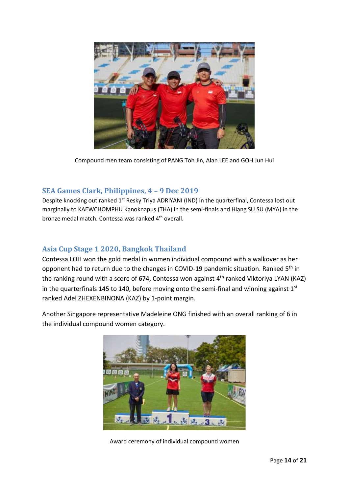

Compound men team consisting of PANG Toh Jin, Alan LEE and GOH Jun Hui

### <span id="page-14-0"></span>**SEA Games Clark, Philippines, 4 – 9 Dec 2019**

Despite knocking out ranked 1<sup>st</sup> Resky Triya ADRIYANI (IND) in the quarterfinal, Contessa lost out marginally to KAEWCHOMPHU Kanoknapus (THA) in the semi-finals and Hlang SU SU (MYA) in the bronze medal match. Contessa was ranked 4<sup>th</sup> overall.

### <span id="page-14-1"></span>**Asia Cup Stage 1 2020, Bangkok Thailand**

Contessa LOH won the gold medal in women individual compound with a walkover as her opponent had to return due to the changes in COVID-19 pandemic situation. Ranked 5<sup>th</sup> in the ranking round with a score of 674, Contessa won against 4<sup>th</sup> ranked Viktoriya LYAN (KAZ) in the quarterfinals 145 to 140, before moving onto the semi-final and winning against  $1<sup>st</sup>$ ranked Adel ZHEXENBINONA (KAZ) by 1-point margin.

Another Singapore representative Madeleine ONG finished with an overall ranking of 6 in the individual compound women category.



Award ceremony of individual compound women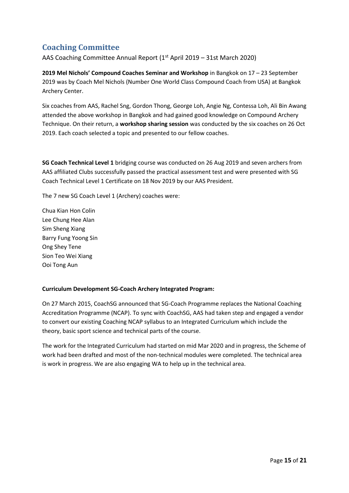## <span id="page-15-0"></span>**Coaching Committee**

AAS Coaching Committee Annual Report ( $1<sup>st</sup>$  April 2019 – 31st March 2020)

**2019 Mel Nichols' Compound Coaches Seminar and Workshop** in Bangkok on 17 – 23 September 2019 was by Coach Mel Nichols (Number One World Class Compound Coach from USA) at Bangkok Archery Center.

Six coaches from AAS, Rachel Sng, Gordon Thong, George Loh, Angie Ng, Contessa Loh, Ali Bin Awang attended the above workshop in Bangkok and had gained good knowledge on Compound Archery Technique. On their return, a **workshop sharing session** was conducted by the six coaches on 26 Oct 2019. Each coach selected a topic and presented to our fellow coaches.

**SG Coach Technical Level 1** bridging course was conducted on 26 Aug 2019 and seven archers from AAS affiliated Clubs successfully passed the practical assessment test and were presented with SG Coach Technical Level 1 Certificate on 18 Nov 2019 by our AAS President.

The 7 new SG Coach Level 1 (Archery) coaches were:

Chua Kian Hon Colin Lee Chung Hee Alan Sim Sheng Xiang Barry Fung Yoong Sin Ong Shey Tene Sion Teo Wei Xiang Ooi Tong Aun

#### **Curriculum Development SG-Coach Archery Integrated Program:**

On 27 March 2015, CoachSG announced that SG-Coach Programme replaces the National Coaching Accreditation Programme (NCAP). To sync with CoachSG, AAS had taken step and engaged a vendor to convert our existing Coaching NCAP syllabus to an Integrated Curriculum which include the theory, basic sport science and technical parts of the course.

The work for the Integrated Curriculum had started on mid Mar 2020 and in progress, the Scheme of work had been drafted and most of the non-technical modules were completed. The technical area is work in progress. We are also engaging WA to help up in the technical area.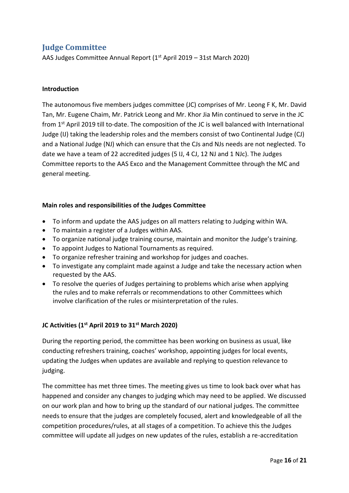## <span id="page-16-0"></span>**Judge Committee**

AAS Judges Committee Annual Report (1st April 2019 – 31st March 2020)

#### **Introduction**

The autonomous five members judges committee (JC) comprises of Mr. Leong F K, Mr. David Tan, Mr. Eugene Chaim, Mr. Patrick Leong and Mr. Khor Jia Min continued to serve in the JC from 1<sup>st</sup> April 2019 till to-date. The composition of the JC is well balanced with International Judge (IJ) taking the leadership roles and the members consist of two Continental Judge (CJ) and a National Judge (NJ) which can ensure that the CJs and NJs needs are not neglected. To date we have a team of 22 accredited judges (5 IJ, 4 CJ, 12 NJ and 1 NJc). The Judges Committee reports to the AAS Exco and the Management Committee through the MC and general meeting.

#### **Main roles and responsibilities of the Judges Committee**

- To inform and update the AAS judges on all matters relating to Judging within WA.
- To maintain a register of a Judges within AAS.
- To organize national judge training course, maintain and monitor the Judge's training.
- To appoint Judges to National Tournaments as required.
- To organize refresher training and workshop for judges and coaches.
- To investigate any complaint made against a Judge and take the necessary action when requested by the AAS.
- To resolve the queries of Judges pertaining to problems which arise when applying the rules and to make referrals or recommendations to other Committees which involve clarification of the rules or misinterpretation of the rules.

#### **JC Activities (1st April 2019 to 31st March 2020)**

During the reporting period, the committee has been working on business as usual, like conducting refreshers training, coaches' workshop, appointing judges for local events, updating the Judges when updates are available and replying to question relevance to judging.

The committee has met three times. The meeting gives us time to look back over what has happened and consider any changes to judging which may need to be applied. We discussed on our work plan and how to bring up the standard of our national judges. The committee needs to ensure that the judges are completely focused, alert and knowledgeable of all the competition procedures/rules, at all stages of a competition. To achieve this the Judges committee will update all judges on new updates of the rules, establish a re-accreditation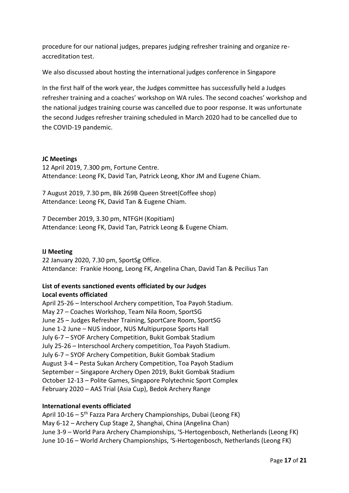procedure for our national judges, prepares judging refresher training and organize reaccreditation test.

We also discussed about hosting the international judges conference in Singapore

In the first half of the work year, the Judges committee has successfully held a Judges refresher training and a coaches' workshop on WA rules. The second coaches' workshop and the national judges training course was cancelled due to poor response. It was unfortunate the second Judges refresher training scheduled in March 2020 had to be cancelled due to the COVID-19 pandemic.

#### **JC Meetings**

12 April 2019, 7.300 pm, Fortune Centre. Attendance: Leong FK, David Tan, Patrick Leong, Khor JM and Eugene Chiam.

7 August 2019, 7.30 pm, Blk 269B Queen Street(Coffee shop) Attendance: Leong FK, David Tan & Eugene Chiam.

7 December 2019, 3.30 pm, NTFGH (Kopitiam) Attendance: Leong FK, David Tan, Patrick Leong & Eugene Chiam.

#### **IJ Meeting**

22 January 2020, 7.30 pm, SportSg Office. Attendance: Frankie Hoong, Leong FK, Angelina Chan, David Tan & Pecilius Tan

#### **List of events sanctioned events officiated by our Judges Local events officiated**

April 25-26 – Interschool Archery competition, Toa Payoh Stadium. May 27 – Coaches Workshop, Team Nila Room, SportSG June 25 – Judges Refresher Training, SportCare Room, SportSG June 1-2 June – NUS indoor, NUS Multipurpose Sports Hall July 6-7 – SYOF Archery Competition, Bukit Gombak Stadium July 25-26 – Interschool Archery competition, Toa Payoh Stadium. July 6-7 – SYOF Archery Competition, Bukit Gombak Stadium August 3-4 – Pesta Sukan Archery Competition, Toa Payoh Stadium September – Singapore Archery Open 2019, Bukit Gombak Stadium October 12-13 – Polite Games, Singapore Polytechnic Sport Complex February 2020 – AAS Trial (Asia Cup), Bedok Archery Range

#### **International events officiated**

April 10-16 – 5<sup>th</sup> Fazza Para Archery Championships, Dubai (Leong FK) May 6-12 – Archery Cup Stage 2, Shanghai, China (Angelina Chan) June 3-9 – World Para Archery Championships, 'S-Hertogenbosch, Netherlands (Leong FK) June 10-16 – World Archery Championships, 'S-Hertogenbosch, Netherlands (Leong FK)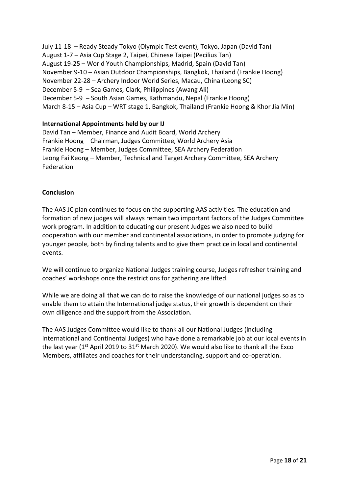July 11-18 – Ready Steady Tokyo (Olympic Test event), Tokyo, Japan (David Tan) August 1-7 – Asia Cup Stage 2, Taipei, Chinese Taipei (Pecilius Tan) August 19-25 – World Youth Championships, Madrid, Spain (David Tan) November 9-10 – Asian Outdoor Championships, Bangkok, Thailand (Frankie Hoong) November 22-28 – Archery Indoor World Series, Macau, China (Leong SC) December 5-9 – Sea Games, Clark, Philippines (Awang Ali) December 5-9 – South Asian Games, Kathmandu, Nepal (Frankie Hoong) March 8-15 – Asia Cup – WRT stage 1, Bangkok, Thailand (Frankie Hoong & Khor Jia Min)

#### **International Appointments held by our IJ**

David Tan – Member, Finance and Audit Board, World Archery Frankie Hoong – Chairman, Judges Committee, World Archery Asia Frankie Hoong – Member, Judges Committee, SEA Archery Federation Leong Fai Keong – Member, Technical and Target Archery Committee, SEA Archery Federation

#### **Conclusion**

The AAS JC plan continues to focus on the supporting AAS activities. The education and formation of new judges will always remain two important factors of the Judges Committee work program. In addition to educating our present Judges we also need to build cooperation with our member and continental associations, in order to promote judging for younger people, both by finding talents and to give them practice in local and continental events.

We will continue to organize National Judges training course, Judges refresher training and coaches' workshops once the restrictions for gathering are lifted.

While we are doing all that we can do to raise the knowledge of our national judges so as to enable them to attain the International judge status, their growth is dependent on their own diligence and the support from the Association.

The AAS Judges Committee would like to thank all our National Judges (including International and Continental Judges) who have done a remarkable job at our local events in the last year ( $1<sup>st</sup>$  April 2019 to 31 $<sup>st</sup>$  March 2020). We would also like to thank all the Exco</sup> Members, affiliates and coaches for their understanding, support and co-operation.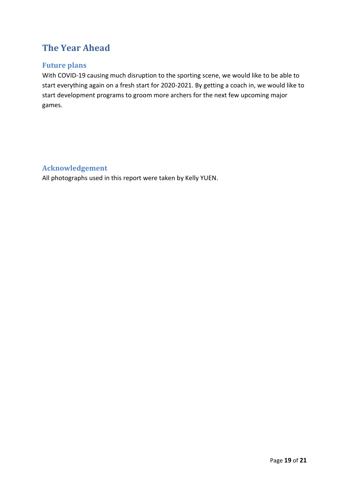# <span id="page-19-0"></span>**The Year Ahead**

### <span id="page-19-1"></span>**Future plans**

With COVID-19 causing much disruption to the sporting scene, we would like to be able to start everything again on a fresh start for 2020-2021. By getting a coach in, we would like to start development programs to groom more archers for the next few upcoming major games.

### <span id="page-19-2"></span>**Acknowledgement**

All photographs used in this report were taken by Kelly YUEN.